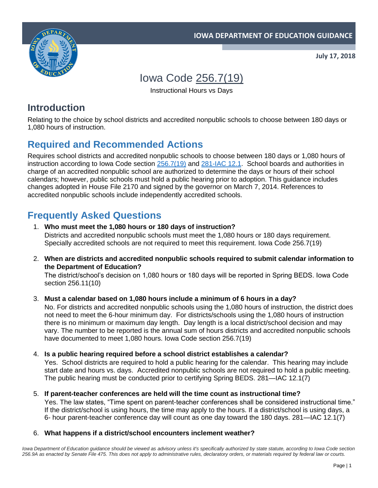



**July 17, 2018**

# Iowa Code [256.7\(19\)](https://www.legis.iowa.gov/docs/code/256.7.pdf)

Instructional Hours vs Days

## **Introduction**

Relating to the choice by school districts and accredited nonpublic schools to choose between 180 days or 1,080 hours of instruction.

## **Required and Recommended Actions**

Requires school districts and accredited nonpublic schools to choose between 180 days or 1,080 hours of instruction according to Iowa Code section [256.7\(19\)](https://www.legis.iowa.gov/docs/code/256.7.pdf) and [281-IAC 12.1.](https://www.legis.iowa.gov/docs/iac/rule/10-15-2014.281.12.1.pdf) School boards and authorities in charge of an accredited nonpublic school are authorized to determine the days or hours of their school calendars; however, public schools must hold a public hearing prior to adoption. This guidance includes changes adopted in House File 2170 and signed by the governor on March 7, 2014. References to accredited nonpublic schools include independently accredited schools.

## **Frequently Asked Questions**

- 1. **Who must meet the 1,080 hours or 180 days of instruction?**  Districts and accredited nonpublic schools must meet the 1,080 hours or 180 days requirement. Specially accredited schools are not required to meet this requirement. Iowa Code 256.7(19)
- 2. **When are districts and accredited nonpublic schools required to submit calendar information to the Department of Education?**

The district/school's decision on 1,080 hours or 180 days will be reported in Spring BEDS. Iowa Code section 256.11(10)

3. **Must a calendar based on 1,080 hours include a minimum of 6 hours in a day?** 

No. For districts and accredited nonpublic schools using the 1,080 hours of instruction, the district does not need to meet the 6-hour minimum day. For districts/schools using the 1,080 hours of instruction there is no minimum or maximum day length. Day length is a local district/school decision and may vary. The number to be reported is the annual sum of hours districts and accredited nonpublic schools have documented to meet 1,080 hours. Iowa Code section 256.7(19)

4. **Is a public hearing required before a school district establishes a calendar?**  Yes. School districts are required to hold a public hearing for the calendar. This hearing may include

start date and hours vs. days. Accredited nonpublic schools are not required to hold a public meeting. The public hearing must be conducted prior to certifying Spring BEDS. 281—IAC 12.1(7)

- 5. **If parent-teacher conferences are held will the time count as instructional time?** Yes. The law states, "Time spent on parent-teacher conferences shall be considered instructional time." If the district/school is using hours, the time may apply to the hours. If a district/school is using days, a 6- hour parent-teacher conference day will count as one day toward the 180 days. 281—IAC 12.1(7)
- 6. **What happens if a district/school encounters inclement weather?**

Iowa Department of Education guidance should be viewed as advisory unless it's specifically authorized by state statute, according to Iowa Code section *256.9A as enacted by Senate File 475. This does not apply to administrative rules, declaratory orders, or materials required by federal law or courts.*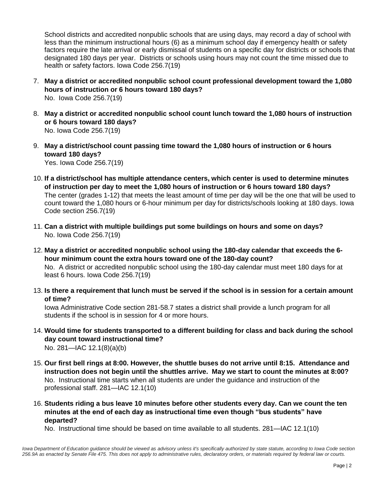School districts and accredited nonpublic schools that are using days, may record a day of school with less than the minimum instructional hours (6) as a minimum school day if emergency health or safety factors require the late arrival or early dismissal of students on a specific day for districts or schools that designated 180 days per year. Districts or schools using hours may not count the time missed due to health or safety factors. Iowa Code 256.7(19)

- 7. **May a district or accredited nonpublic school count professional development toward the 1,080 hours of instruction or 6 hours toward 180 days?**  No. Iowa Code 256.7(19)
- 8. **May a district or accredited nonpublic school count lunch toward the 1,080 hours of instruction or 6 hours toward 180 days?**  No. Iowa Code 256.7(19)
- 9. **May a district/school count passing time toward the 1,080 hours of instruction or 6 hours toward 180 days?**  Yes. Iowa Code 256.7(19)
- 10. **If a district/school has multiple attendance centers, which center is used to determine minutes of instruction per day to meet the 1,080 hours of instruction or 6 hours toward 180 days?**  The center (grades 1-12) that meets the least amount of time per day will be the one that will be used to count toward the 1,080 hours or 6-hour minimum per day for districts/schools looking at 180 days. Iowa Code section 256.7(19)
- 11. **Can a district with multiple buildings put some buildings on hours and some on days?**  No. Iowa Code 256.7(19)
- 12. **May a district or accredited nonpublic school using the 180-day calendar that exceeds the 6 hour minimum count the extra hours toward one of the 180-day count?**  No. A district or accredited nonpublic school using the 180-day calendar must meet 180 days for at least 6 hours. Iowa Code 256.7(19)
- 13. **Is there a requirement that lunch must be served if the school is in session for a certain amount of time?**

Iowa Administrative Code section 281-58.7 states a district shall provide a lunch program for all students if the school is in session for 4 or more hours.

- 14. **Would time for students transported to a different building for class and back during the school day count toward instructional time?** No. 281—IAC 12.1(8)(a)(b)
- 15. **Our first bell rings at 8:00. However, the shuttle buses do not arrive until 8:15. Attendance and instruction does not begin until the shuttles arrive. May we start to count the minutes at 8:00?** No. Instructional time starts when all students are under the guidance and instruction of the professional staff. 281—IAC 12.1(10)
- 16. **Students riding a bus leave 10 minutes before other students every day. Can we count the ten minutes at the end of each day as instructional time even though "bus students" have departed?**

No. Instructional time should be based on time available to all students. 281—IAC 12.1(10)